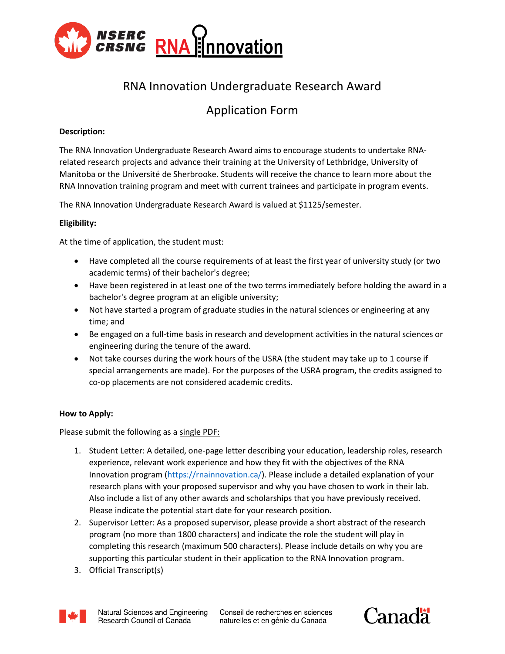

# RNA Innovation Undergraduate Research Award

# Application Form

## **Description:**

The RNA Innovation Undergraduate Research Award aims to encourage students to undertake RNArelated research projects and advance their training at the University of Lethbridge, University of Manitoba or the Université de Sherbrooke. Students will receive the chance to learn more about the RNA Innovation training program and meet with current trainees and participate in program events.

The RNA Innovation Undergraduate Research Award is valued at \$1125/semester.

## **Eligibility:**

At the time of application, the student must:

- Have completed all the course requirements of at least the first year of university study (or two academic terms) of their bachelor's degree;
- Have been registered in at least one of the two terms immediately before holding the award in a bachelor's degree program at an eligible university;
- Not have started a program of graduate studies in the natural sciences or engineering at any time; and
- Be engaged on a full-time basis in research and development activities in the natural sciences or engineering during the tenure of the award.
- Not take courses during the work hours of the USRA (the student may take up to 1 course if special arrangements are made). For the purposes of the USRA program, the credits assigned to co-op placements are not considered academic credits.

### **How to Apply:**

Please submit the following as a single PDF:

- 1. Student Letter: A detailed, one-page letter describing your education, leadership roles, research experience, relevant work experience and how they fit with the objectives of the RNA Innovation program [\(https://rnainnovation.ca/\)](https://rnainnovation.ca/). Please include a detailed explanation of your research plans with your proposed supervisor and why you have chosen to work in their lab. Also include a list of any other awards and scholarships that you have previously received. Please indicate the potential start date for your research position.
- 2. Supervisor Letter: As a proposed supervisor, please provide a short abstract of the research program (no more than 1800 characters) and indicate the role the student will play in completing this research (maximum 500 characters). Please include details on why you are supporting this particular student in their application to the RNA Innovation program.
- 3. Official Transcript(s)